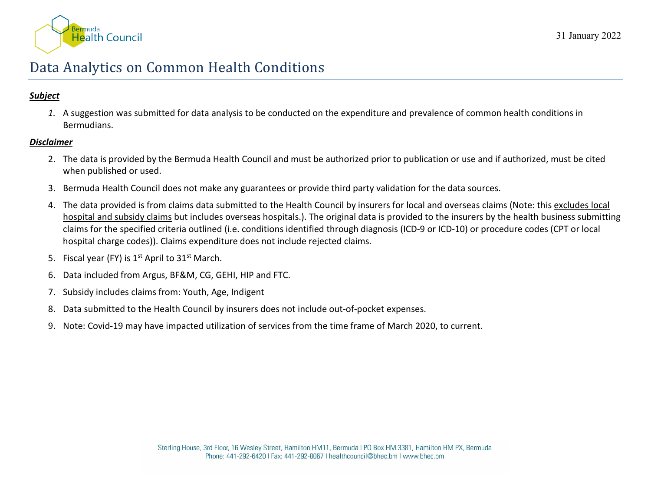

# Data Analytics on Common Health Conditions

## *Subject*

*1.* A suggestion was submitted for data analysis to be conducted on the expenditure and prevalence of common health conditions in Bermudians.

### *Disclaimer*

- 2. The data is provided by the Bermuda Health Council and must be authorized prior to publication or use and if authorized, must be cited when published or used.
- 3. Bermuda Health Council does not make any guarantees or provide third party validation for the data sources.
- 4. The data provided is from claims data submitted to the Health Council by insurers for local and overseas claims (Note: this excludes local hospital and subsidy claims but includes overseas hospitals.). The original data is provided to the insurers by the health business submitting claims for the specified criteria outlined (i.e. conditions identified through diagnosis (ICD-9 or ICD-10) or procedure codes (CPT or local hospital charge codes)). Claims expenditure does not include rejected claims.
- 5. Fiscal year (FY) is  $1<sup>st</sup>$  April to  $31<sup>st</sup>$  March.
- 6. Data included from Argus, BF&M, CG, GEHI, HIP and FTC.
- 7. Subsidy includes claims from: Youth, Age, Indigent
- 8. Data submitted to the Health Council by insurers does not include out-of-pocket expenses.
- 9. Note: Covid-19 may have impacted utilization of services from the time frame of March 2020, to current.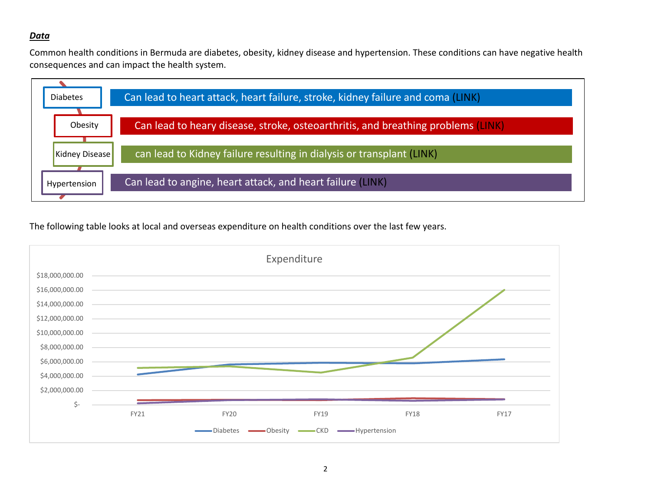#### *Data*

Common health conditions in Bermuda are diabetes, obesity, kidney disease and hypertension. These conditions can have negative health consequences and can impact the health system.



The following table looks at local and overseas expenditure on health conditions over the last few years.

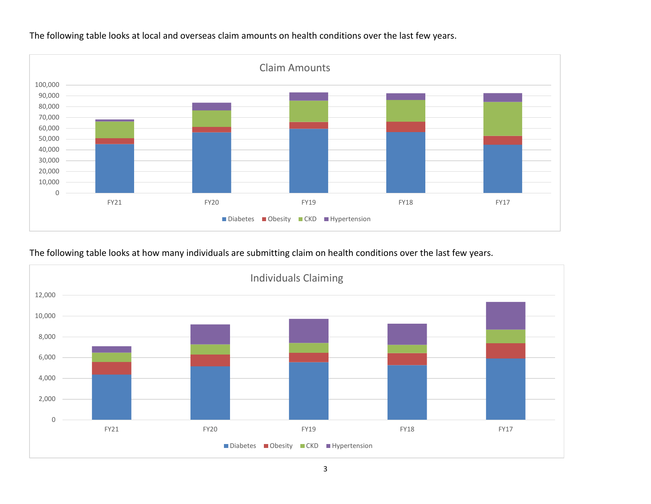

The following table looks at local and overseas claim amounts on health conditions over the last few years.

The following table looks at how many individuals are submitting claim on health conditions over the last few years.